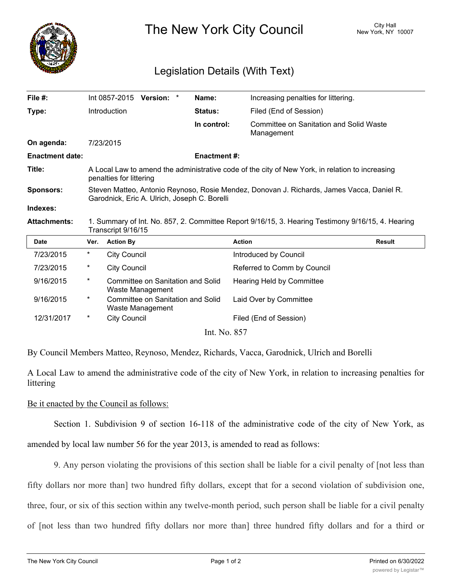

The New York City Council New York, NY 10007

## Legislation Details (With Text)

| File $#$ :             |                                                                                                                                           | Int 0857-2015       | Version: *                                            |                                                                                                                         | Name:          | Increasing penalties for littering.                   |               |  |  |  |
|------------------------|-------------------------------------------------------------------------------------------------------------------------------------------|---------------------|-------------------------------------------------------|-------------------------------------------------------------------------------------------------------------------------|----------------|-------------------------------------------------------|---------------|--|--|--|
| Type:                  |                                                                                                                                           | Introduction        |                                                       |                                                                                                                         | <b>Status:</b> | Filed (End of Session)                                |               |  |  |  |
|                        |                                                                                                                                           |                     |                                                       |                                                                                                                         | In control:    | Committee on Sanitation and Solid Waste<br>Management |               |  |  |  |
| On agenda:             |                                                                                                                                           | 7/23/2015           |                                                       |                                                                                                                         |                |                                                       |               |  |  |  |
| <b>Enactment date:</b> | <b>Enactment#:</b>                                                                                                                        |                     |                                                       |                                                                                                                         |                |                                                       |               |  |  |  |
| Title:                 | A Local Law to amend the administrative code of the city of New York, in relation to increasing<br>penalties for littering                |                     |                                                       |                                                                                                                         |                |                                                       |               |  |  |  |
| <b>Sponsors:</b>       | Steven Matteo, Antonio Reynoso, Rosie Mendez, Donovan J. Richards, James Vacca, Daniel R.<br>Garodnick, Eric A. Ulrich, Joseph C. Borelli |                     |                                                       |                                                                                                                         |                |                                                       |               |  |  |  |
| Indexes:               |                                                                                                                                           |                     |                                                       |                                                                                                                         |                |                                                       |               |  |  |  |
|                        |                                                                                                                                           |                     |                                                       | 1. Summary of Int. No. 857, 2. Committee Report 9/16/15, 3. Hearing Testimony 9/16/15, 4. Hearing<br>Transcript 9/16/15 |                |                                                       |               |  |  |  |
| <b>Attachments:</b>    |                                                                                                                                           |                     |                                                       |                                                                                                                         |                |                                                       |               |  |  |  |
| <b>Date</b>            | Ver.                                                                                                                                      | <b>Action By</b>    |                                                       |                                                                                                                         |                | <b>Action</b>                                         | <b>Result</b> |  |  |  |
| 7/23/2015              | *                                                                                                                                         | <b>City Council</b> |                                                       |                                                                                                                         |                | Introduced by Council                                 |               |  |  |  |
| 7/23/2015              | *                                                                                                                                         | <b>City Council</b> |                                                       |                                                                                                                         |                | Referred to Comm by Council                           |               |  |  |  |
| 9/16/2015              | *                                                                                                                                         |                     | Committee on Sanitation and Solid<br>Waste Management |                                                                                                                         |                | Hearing Held by Committee                             |               |  |  |  |
| 9/16/2015              | $\ast$                                                                                                                                    |                     | Committee on Sanitation and Solid<br>Waste Management |                                                                                                                         |                | Laid Over by Committee                                |               |  |  |  |
| 12/31/2017             | $^\star$                                                                                                                                  | <b>City Council</b> |                                                       |                                                                                                                         |                | Filed (End of Session)                                |               |  |  |  |

By Council Members Matteo, Reynoso, Mendez, Richards, Vacca, Garodnick, Ulrich and Borelli

A Local Law to amend the administrative code of the city of New York, in relation to increasing penalties for littering

Be it enacted by the Council as follows:

Section 1. Subdivision 9 of section 16-118 of the administrative code of the city of New York, as amended by local law number 56 for the year 2013, is amended to read as follows:

9. Any person violating the provisions of this section shall be liable for a civil penalty of [not less than fifty dollars nor more than] two hundred fifty dollars, except that for a second violation of subdivision one, three, four, or six of this section within any twelve-month period, such person shall be liable for a civil penalty

of [not less than two hundred fifty dollars nor more than] three hundred fifty dollars and for a third or